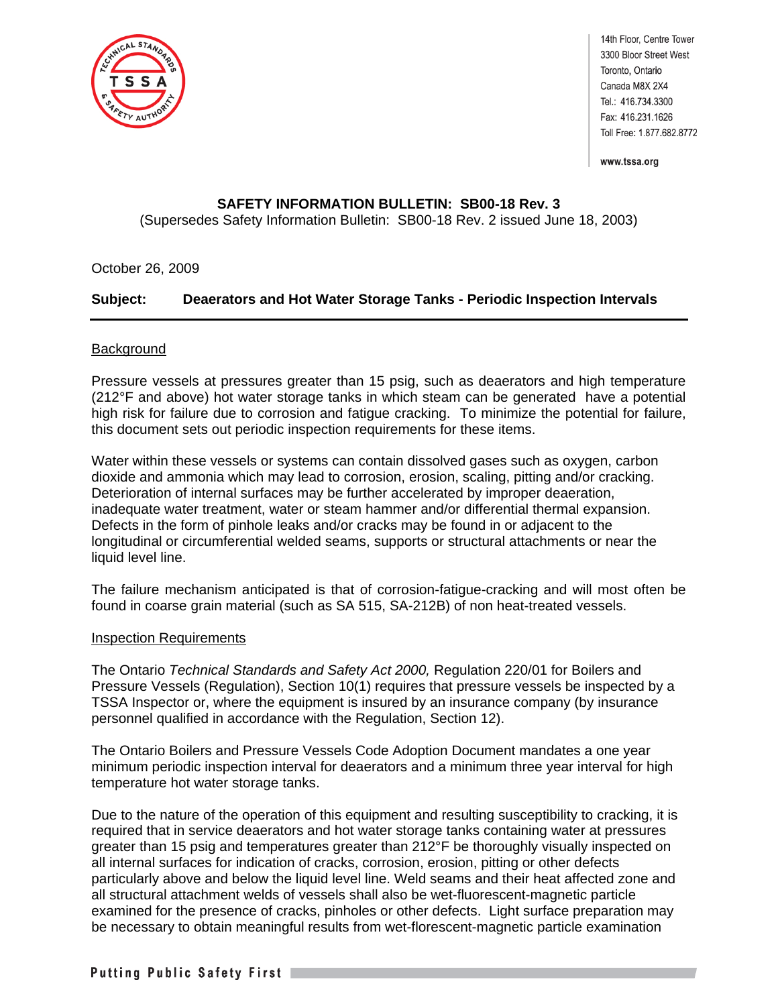

14th Floor, Centre Tower 3300 Bloor Street West Toronto, Ontario Canada M8X 2X4 Tel.: 416.734.3300 Fax: 416.231.1626 Toll Free: 1.877.682.8772

www.tssa.org

# **SAFETY INFORMATION BULLETIN: SB00-18 Rev. 3**

(Supersedes Safety Information Bulletin: SB00-18 Rev. 2 issued June 18, 2003)

## October 26, 2009

## **Subject: Deaerators and Hot Water Storage Tanks - Periodic Inspection Intervals**

#### Background

Pressure vessels at pressures greater than 15 psig, such as deaerators and high temperature (212°F and above) hot water storage tanks in which steam can be generated have a potential high risk for failure due to corrosion and fatigue cracking. To minimize the potential for failure, this document sets out periodic inspection requirements for these items.

Water within these vessels or systems can contain dissolved gases such as oxygen, carbon dioxide and ammonia which may lead to corrosion, erosion, scaling, pitting and/or cracking. Deterioration of internal surfaces may be further accelerated by improper deaeration, inadequate water treatment, water or steam hammer and/or differential thermal expansion. Defects in the form of pinhole leaks and/or cracks may be found in or adjacent to the longitudinal or circumferential welded seams, supports or structural attachments or near the liquid level line.

The failure mechanism anticipated is that of corrosion-fatigue-cracking and will most often be found in coarse grain material (such as SA 515, SA-212B) of non heat-treated vessels.

#### Inspection Requirements

The Ontario *Technical Standards and Safety Act 2000,* Regulation 220/01 for Boilers and Pressure Vessels (Regulation), Section 10(1) requires that pressure vessels be inspected by a TSSA Inspector or, where the equipment is insured by an insurance company (by insurance personnel qualified in accordance with the Regulation, Section 12).

The Ontario Boilers and Pressure Vessels Code Adoption Document mandates a one year minimum periodic inspection interval for deaerators and a minimum three year interval for high temperature hot water storage tanks.

Due to the nature of the operation of this equipment and resulting susceptibility to cracking, it is required that in service deaerators and hot water storage tanks containing water at pressures greater than 15 psig and temperatures greater than 212°F be thoroughly visually inspected on all internal surfaces for indication of cracks, corrosion, erosion, pitting or other defects particularly above and below the liquid level line. Weld seams and their heat affected zone and all structural attachment welds of vessels shall also be wet-fluorescent-magnetic particle examined for the presence of cracks, pinholes or other defects. Light surface preparation may be necessary to obtain meaningful results from wet-florescent-magnetic particle examination